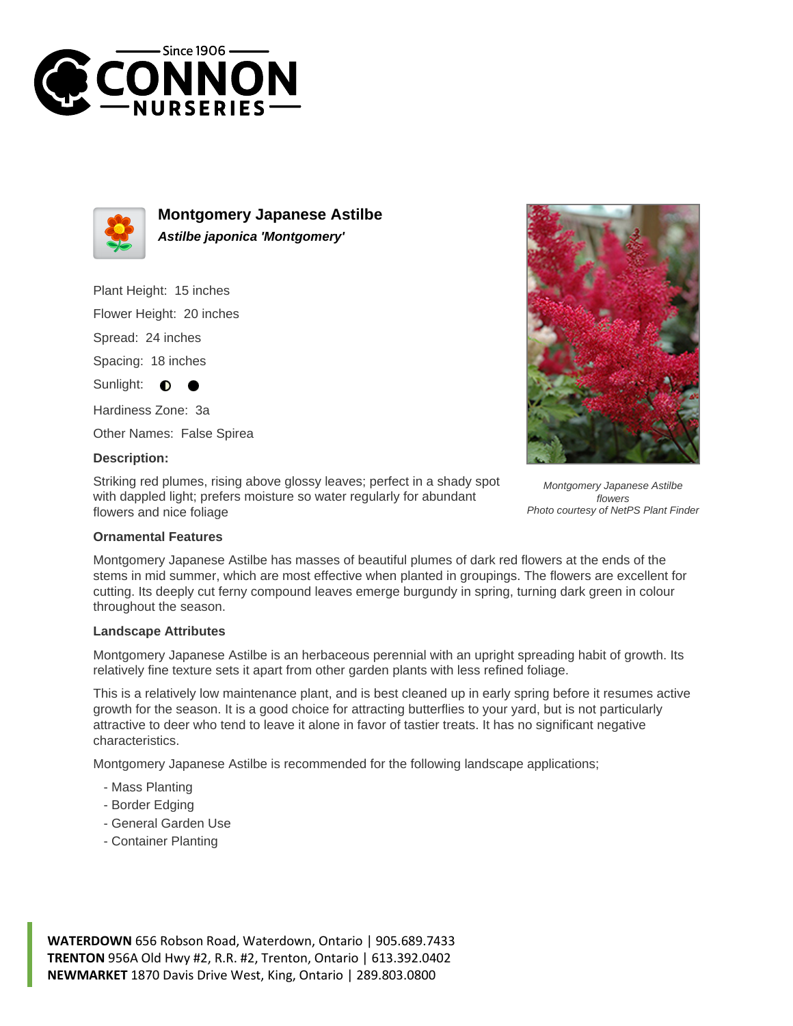



**Montgomery Japanese Astilbe Astilbe japonica 'Montgomery'**

Plant Height: 15 inches

Flower Height: 20 inches

Spread: 24 inches

Spacing: 18 inches

Sunlight:  $\bullet$ 

Hardiness Zone: 3a

Other Names: False Spirea

## **Description:**

Striking red plumes, rising above glossy leaves; perfect in a shady spot with dappled light; prefers moisture so water regularly for abundant flowers and nice foliage



Montgomery Japanese Astilbe flowers Photo courtesy of NetPS Plant Finder

## **Ornamental Features**

Montgomery Japanese Astilbe has masses of beautiful plumes of dark red flowers at the ends of the stems in mid summer, which are most effective when planted in groupings. The flowers are excellent for cutting. Its deeply cut ferny compound leaves emerge burgundy in spring, turning dark green in colour throughout the season.

## **Landscape Attributes**

Montgomery Japanese Astilbe is an herbaceous perennial with an upright spreading habit of growth. Its relatively fine texture sets it apart from other garden plants with less refined foliage.

This is a relatively low maintenance plant, and is best cleaned up in early spring before it resumes active growth for the season. It is a good choice for attracting butterflies to your yard, but is not particularly attractive to deer who tend to leave it alone in favor of tastier treats. It has no significant negative characteristics.

Montgomery Japanese Astilbe is recommended for the following landscape applications;

- Mass Planting
- Border Edging
- General Garden Use
- Container Planting

**WATERDOWN** 656 Robson Road, Waterdown, Ontario | 905.689.7433 **TRENTON** 956A Old Hwy #2, R.R. #2, Trenton, Ontario | 613.392.0402 **NEWMARKET** 1870 Davis Drive West, King, Ontario | 289.803.0800